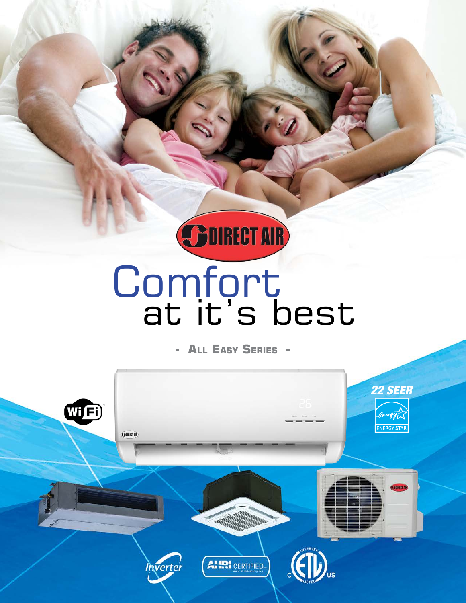

# **Comfort** at it's best

**- All Easy Series -**

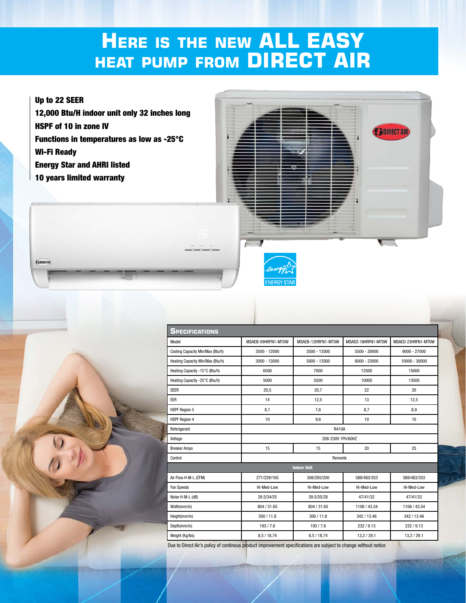## **Here is the new ALL EASY heat pump from DIRECT AIR**

#### Up to 22 SEER

**COURSET AIR** 

12,000 Btu/H indoor unit only 32 inches long HSPF of 10 in zone IV Functions in temperatures as low as -25°C Wi-Fi Ready Energy Star and AHRI listed 10 years limited warranty





| <b>SPECIFICATIONS</b>            |                    |                    |                    |                    |
|----------------------------------|--------------------|--------------------|--------------------|--------------------|
| Model                            | MSAEB-09HRFN1-MT0W | MSAEB-12HRFN1-MT0W | MSAED-18HRFN1-MT0W | MSAED-23HRFN1-MT0W |
| Cooling Capacity Min/Max (Btu/h) | 3500 - 12000       | 3500 - 13500       | 5500 - 20000       | $9000 - 27000$     |
| Heating Capacity Min/Max (Btu/h) | 3000 - 13000       | 5000 - 13500       | $6000 - 23000$     | 10000 - 30000      |
| Heating Capacity -15°C (Btu/h)   | 6500               | 7000               | 12500              | 15000              |
| Heating Capacity -25°C (Btu/h)   | 5000               | 5500               | 10000              | 13500              |
| <b>SEER</b>                      | 20.5               | 20.7               | 22                 | 20                 |
| EER                              | 14                 | 12,5               | 13                 | 12,5               |
| <b>HSPF Region 5</b>             | 8,1                | 7,6                | 8,7                | 8,9                |
| <b>HSPF Region 4</b>             | 10                 | 9,6                | 10                 | 10                 |
| Referigerant                     | <b>R410A</b>       |                    |                    |                    |
| Voltage                          | 208-230V 1Ph/60HZ  |                    |                    |                    |
| <b>Breaker Amps</b>              | 15                 | 15                 | 20                 | 25                 |
| Control                          | Remonte            |                    |                    |                    |
| <b>Indoor Unit</b>               |                    |                    |                    |                    |
| Air Flow H-M-L (CFM)             | 271/229/165        | 306/265/200        | 589/483/353        | 589/483/353        |
| Fan Speeds                       | Hi-Med-Low         | Hi-Med-Low         | Hi-Med-Low         | Hi-Med-Low         |
| Noise H-M-L (dB)                 | 39.5/34/25         | 39.5/35/28         | 47/41/32           | 47/41/33           |
| Width(mm/in)                     | 804 / 31.65        | 804 / 31.65        | 1106 / 43.54       | 1106 / 43.54       |
| Height(mm/in)                    | 300 / 11.8         | 300 / 11.8         | 342 / 13.46        | 342 / 13.46        |
| Depth(mm/in)                     | 193/7.6            | 193/7.6            | 232/9.13           | 232/9.13           |
| Weight (Kg/lbs)                  | 8,5/18,74          | 8,5/18,74          | 13,2/29,1          | 13,2/29,1          |

Due to Direct Air's policy of continous product improvement specifications are subject to change without notice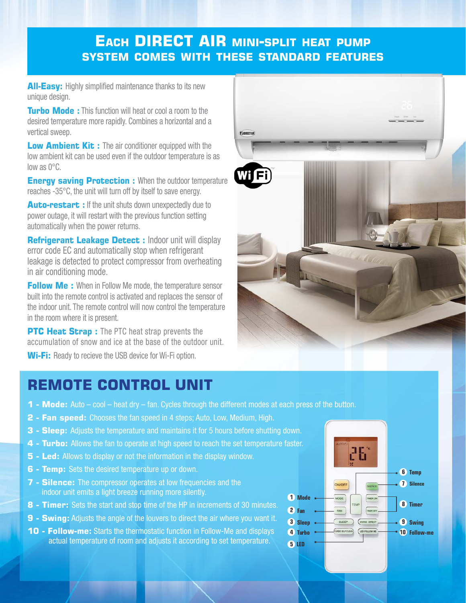### **Each DIRECT AIR mini-split heat pump system comes with these standard features**

**All-Easy:** Highly simplified maintenance thanks to its new unique design.

**Turbo Mode:** This function will heat or cool a room to the desired temperature more rapidly. Combines a horizontal and a vertical sweep.

**Low Ambient Kit:** The air conditioner equipped with the low ambient kit can be used even if the outdoor temperature is as low as 0°C.

**Energy saving Protection :** When the outdoor temperature reaches -35°C, the unit will turn off by itself to save energy.

**Auto-restart : If the unit shuts down unexpectedly due to** power outage, it will restart with the previous function setting automatically when the power returns.

**Refrigerant Leakage Detect : Indoor unit will display** error code EC and automatically stop when refrigerant leakage is detected to protect compressor from overheating in air conditioning mode.

**Follow Me:** When in Follow Me mode, the temperature sensor built into the remote control is activated and replaces the sensor of the indoor unit. The remote control will now control the temperature in the room where it is present.

**PTC Heat Strap:** The PTC heat strap prevents the accumulation of snow and ice at the base of the outdoor unit.

**Wi-Fi:** Ready to recieve the USB device for Wi-Fi option.





- **2 Fan speed:** Chooses the fan speed in 4 steps; Auto, Low, Medium, High.
- **3 Sleep:** Adjusts the temperature and maintains it for 5 hours before shutting down.
- **4 Turbo:** Allows the fan to operate at high speed to reach the set temperature faster.
- **5 Led:** Allows to display or not the information in the display window.
- **6 Temp:** Sets the desired temperature up or down.
- **7 Silence:** The compressor operates at low frequencies and the indoor unit emits a light breeze running more silently.
- **8 Timer:** Sets the start and stop time of the HP in increments of 30 minutes.
- **9 Swing:** Adjusts the angle of the louvers to direct the air where you want it.
- **10 Follow-me:** Starts the thermostatic function in Follow-Me and displays actual temperature of room and adjusts it according to set temperature.



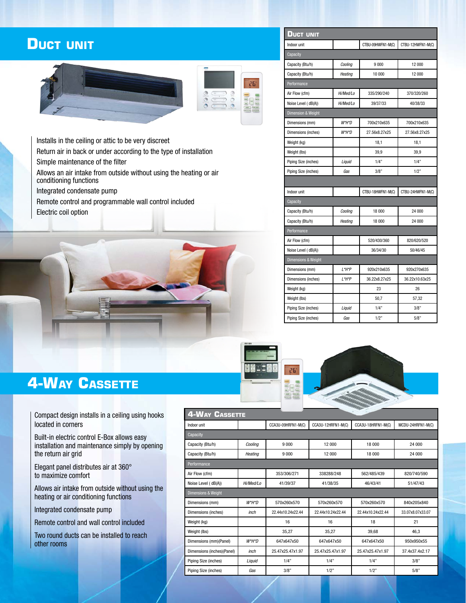### **Duct unit**





Installs in the ceiling or attic to be very discreet

Return air in back or under according to the type of installation Simple maintenance of the filter

Allows an air intake from outside without using the heating or air conditioning functions

Integrated condensate pump

Remote control and programmable wall control included Electric coil option



| <b>DUCT UNIT</b>               |           |                   |                   |  |
|--------------------------------|-----------|-------------------|-------------------|--|
| Indoor unit                    |           | CTBU-09HWFN1-M(C) | CTBU-12HWFN1-M(C) |  |
| Capacity                       |           |                   |                   |  |
| Capacity (Btu/h)               | Cooling   | 9000              | 12 000            |  |
| Capacity (Btu/h)               | Heating   | 10 000            | 12 000            |  |
| Performance                    |           |                   |                   |  |
| Air Flow (cfm)                 | Hi/Med/Lo | 335/290/240       | 370/320/260       |  |
| Noise Level (dB(A))            | Hi/Med/Lo | 39/37/33          | 40/38/33          |  |
| Dimension & Weight             |           |                   |                   |  |
| Dimensions (mm)                | W*H*D     | 700x210x635       | 700x210x635       |  |
| Dimensions (inches)            | W*H*D     | 27.56x8.27x25     | 27.56x8.27x25     |  |
| Weight (kg)                    |           | 18,1              | 18,1              |  |
| Weight (lbs)                   |           | 39,9              | 39,9              |  |
| Piping Size (inches)           | Liquid    | 1/4"              | 1/4"              |  |
| Piping Size (inches)           | Gas       | 3/8"              | 1/2"              |  |
|                                |           |                   |                   |  |
| Indoor unit                    |           | CTBU-18HWFN1-M(C) | CTBU-24HWFN1-M(C) |  |
| Capacity                       |           |                   |                   |  |
| Capacity (Btu/h)               | Cooling   | 18 000            | 24 000            |  |
| Capacity (Btu/h)               | Heating   | 18 000            | 24 000            |  |
| Performance                    |           |                   |                   |  |
| Air Flow (cfm)                 |           | 520/430/360       | 820/620/520       |  |
| Noise Level (dB(A))            |           | 36/34/30          | 50/46/45          |  |
| <b>Dimensions &amp; Weight</b> |           |                   |                   |  |
| Dimensions (mm)                | L*H*P     | 920x210x635       | 920x270x635       |  |
| Dimensions (inches)            | L*H*P     | 36.22x8.27x25     | 36.22x10.63x25    |  |
| Weight (kg)                    |           | 23                | 26                |  |
| Weight (lbs)                   |           | 50,7              | 57,32             |  |
| Piping Size (inches)           | Liquid    | 1/4"              | 3/8"              |  |
| Piping Size (inches)           | Gas       | 1/2"              | 5/8"              |  |



## **4-Way Cassette**

Compact design installs in a ceiling using hooks located in corners

Built-in electric control E-Box allows easy installation and maintenance simply by opening the return air grid

Elegant panel distributes air at 360° to maximize comfort

Allows air intake from outside without using the heating or air conditioning functions

Integrated condensate pump

Remote control and wall control included

Two round ducts can be installed to reach other rooms

| $-200$<br><b>4-WAY CASSETTE</b> |           |                    |                    |                    |                   |  |
|---------------------------------|-----------|--------------------|--------------------|--------------------|-------------------|--|
| Indoor unit                     |           | CCA3U-09HRFN1-M(C) | CCA3U-12HRFN1-M(C) | CCA3U-18HRFN1-M(C) | MCDU-24HRFN1-M(C) |  |
| Capacity                        |           |                    |                    |                    |                   |  |
| Capacity (Btu/h)                | Coolina   | 9 000              | 12 000             | 18 000             | 24 000            |  |
| Capacity (Btu/h)                | Heating   | 9 000              | 12 000             | 18 000             | 24 000            |  |
| Performance                     |           |                    |                    |                    |                   |  |
| Air Flow (cfm)                  |           | 353/306/271        | 338288/248         | 562/485/439        | 820/740/590       |  |
| Noise Level (dB(A))             | Hi/Med/Lo | 41/39/37           | 41/38/35           | 46/43/41           | 51/47/43          |  |
| <b>Dimensions &amp; Weight</b>  |           |                    |                    |                    |                   |  |
| Dimensions (mm)                 | $W^*H^*D$ | 570x260x570        | 570x260x570        | 570x260x570        | 840x205x840       |  |
| Dimensions (inches)             | inch      | 22.44x10.24x22.44  | 22.44x10.24x22.44  | 22.44x10.24x22.44  | 33.07x8.07x33.07  |  |
| Weight (kg)                     |           | 16                 | 16                 | 18                 | 21                |  |
| Weight (lbs)                    |           | 35.27              | 35.27              | 39.68              | 46.3              |  |
| Dimensions (mm)(Panel)          | $W^*H^*D$ | 647x647x50         | 647x647x50         | 647x647x50         | 950x950x55        |  |
| Dimensions (inches)(Panel)      | inch      | 25.47x25.47x1.97   | 25.47x25.47x1.97   | 25.47x25.47x1.97   | 37.4x37.4x2.17    |  |
| Piping Size (inches)            | Liquid    | 1/4"               | 1/4"               | 1/4"               | 3/8"              |  |
| Piping Size (inches)            | Gas       | 3/8"               | 1/2"               | 1/2"               | 5/8"              |  |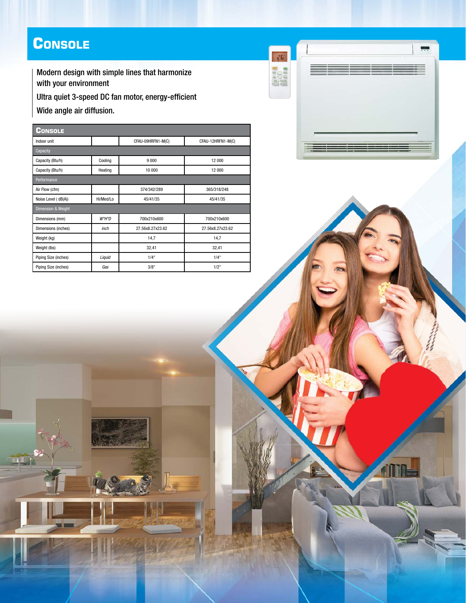## **Console**

Modern design with simple lines that harmonize with your environment

Ultra quiet 3-speed DC fan motor, energy-efficient

Wide angle air diffusion.

**IN** 

| <b>CONSOLE</b>       |           |                   |                   |  |  |
|----------------------|-----------|-------------------|-------------------|--|--|
| Indoor unit          |           | CFAU-09HRFN1-M(C) | CFAU-12HRFN1-M(C) |  |  |
| Capacity             |           |                   |                   |  |  |
| Capacity (Btu/h)     | Cooling   | 9 0 0 0           | 12 000            |  |  |
| Capacity (Btu/h)     | Heating   | 10 000            | 12 000            |  |  |
| Performance          |           |                   |                   |  |  |
| Air Flow (cfm)       |           | 374/342/289       | 365/318/248       |  |  |
| Noise Level (dB(A))  | Hi/Med/Lo | 45/41/35          | 45/41/35          |  |  |
| Dimension & Weight   |           |                   |                   |  |  |
| Dimensions (mm)      | $W^*H^*D$ | 700x210x600       | 700x210x600       |  |  |
| Dimensions (inches)  | inch      | 27.56x8.27x23.62  | 27.56x8.27x23.62  |  |  |
| Weight (kg)          |           | 14,7              | 14,7              |  |  |
| Weight (lbs)         |           | 32,41             | 32,41             |  |  |
| Piping Size (inches) | Liquid    | 1/4"              | 1/4"              |  |  |
| Piping Size (inches) | Gas       | 3/8"              | 1/2"              |  |  |